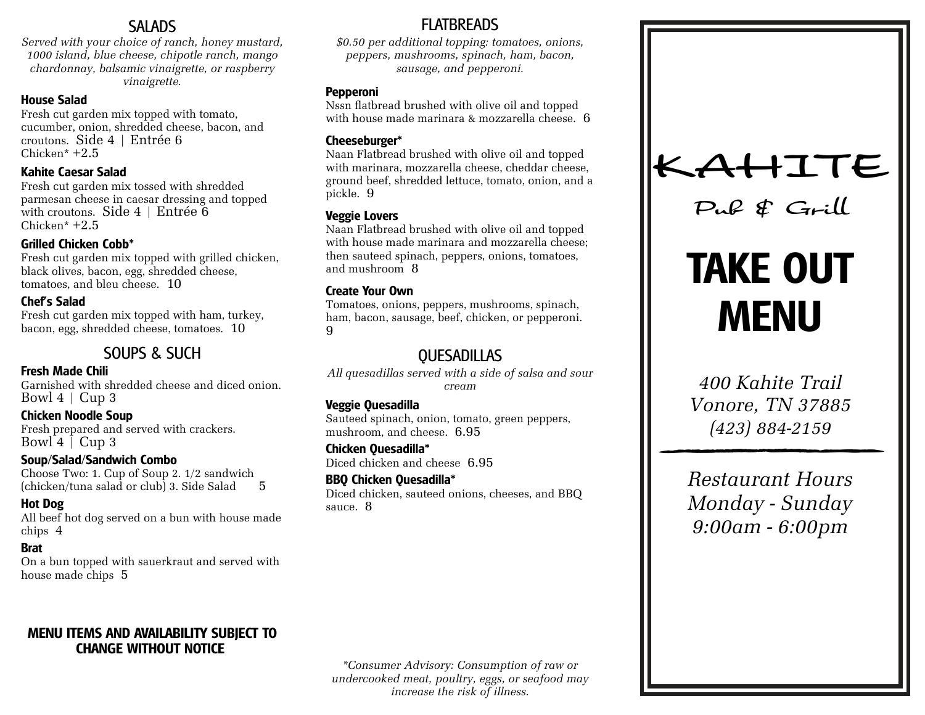# **SALADS**

*Served with your choice of ranch, honey mustard, 1000 island, blue cheese, chipotle ranch, mango chardonnay, balsamic vinaigrette, or raspberry vinaigrette.*

#### **House Salad**

Fresh cut garden mix topped with tomato, cucumber, onion, shredded cheese, bacon, and croutons. Side 4 | Entrée 6 Chicken\* +2.5

#### **Kahite Caesar Salad**

Fresh cut garden mix tossed with shredded parmesan cheese in caesar dressing and topped with croutons. Side  $4 \mid$  Entrée  $6$ Chicken\* +2.5

#### **Grilled Chicken Cobb\***

Fresh cut garden mix topped with grilled chicken, black olives, bacon, egg, shredded cheese, tomatoes, and bleu cheese. 10

#### **Chef's Salad**

Fresh cut garden mix topped with ham, turkey, bacon, egg, shredded cheese, tomatoes. 10

# SOUPS & SUCH

#### **Fresh Made Chili**

Garnished with shredded cheese and diced onion. Bowl  $4 \mid$  Cup 3

#### **Chicken Noodle Soup**

Fresh prepared and served with crackers. Bowl  $4 \int Cup_3$ 

#### **Soup/Salad/Sandwich Combo**

Choose Two: 1. Cup of Soup 2. 1/2 sandwich  $(chicken/tuna sala d$  or club) 3. Side Salad  $5$ 

# **Hot Dog**

All beef hot dog served on a bun with house made chips 4

# **Brat**

On a bun topped with sauerkraut and served with house made chips 5

# **MENU ITEMS AND AVAILABILITY SUBJECT TO CHANGE WITHOUT NOTICE**

# FLATBREADS

*\$0.50 per additional topping: tomatoes, onions, peppers, mushrooms, spinach, ham, bacon, sausage, and pepperoni.*

## **Pepperoni**

Nssn flatbread brushed with olive oil and topped with house made marinara & mozzarella cheese. 6

# **Cheeseburger\***

Naan Flatbread brushed with olive oil and topped with marinara, mozzarella cheese, cheddar cheese, ground beef, shredded lettuce, tomato, onion, and a pickle. 9

# **Veggie Lovers**

Naan Flatbread brushed with olive oil and topped with house made marinara and mozzarella cheese; then sauteed spinach, peppers, onions, tomatoes, and mushroom 8

#### **Create Your Own**

Tomatoes, onions, peppers, mushrooms, spinach, ham, bacon, sausage, beef, chicken, or pepperoni. 9

# **OUESADILLAS**

*All quesadillas served with a side of salsa and sour cream*

# **Veggie Quesadilla**

Sauteed spinach, onion, tomato, green peppers, mushroom, and cheese. 6.95

**Chicken Quesadilla\*** Diced chicken and cheese 6.95

**BBQ Chicken Quesadilla\*** Diced chicken, sauteed onions, cheeses, and BBQ sauce. 8



*Pub & Grill*

# **TAKE OUT MENU**

*400 Kahite Trail Vonore, TN 37885 (423) 884-2159*

*Restaurant Hours Monday - Sunday 9:00am - 6:00pm*

*\*Consumer Advisory: Consumption of raw or undercooked meat, poultry, eggs, or seafood may increase the risk of illness.*